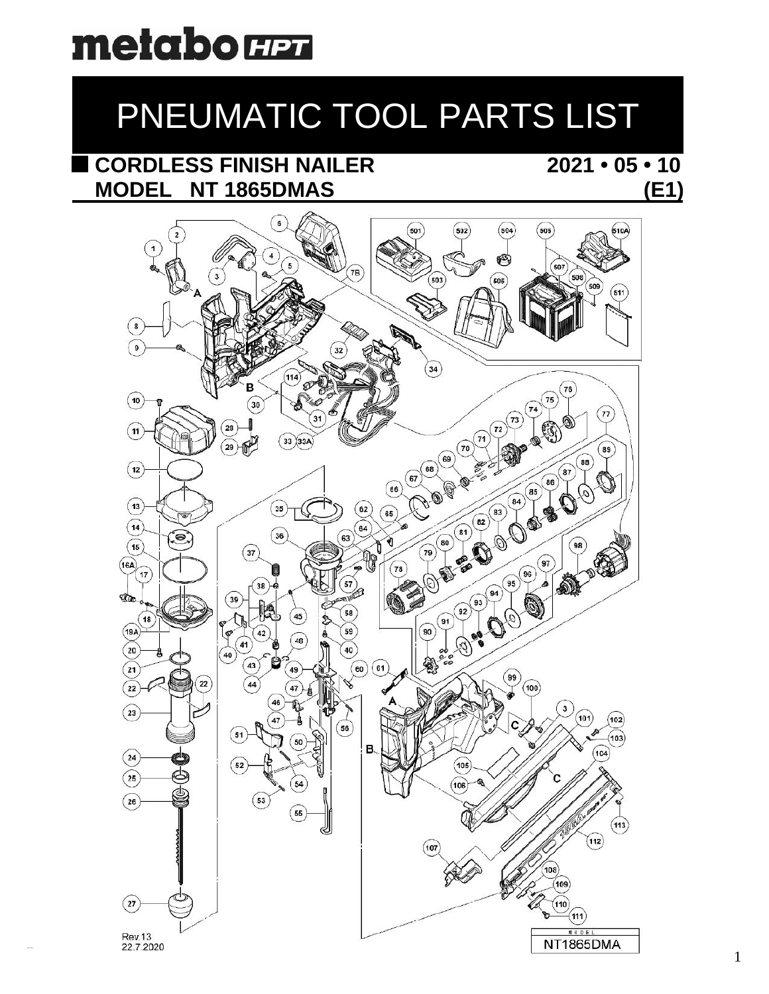# metabo **H**en

## PNEUMATIC TOOL PARTS LIST

## CORDLESS FINISH NAILER MODEL NT 1865DMAS

### $2021 \cdot 05 \cdot 10$  $(E1)$

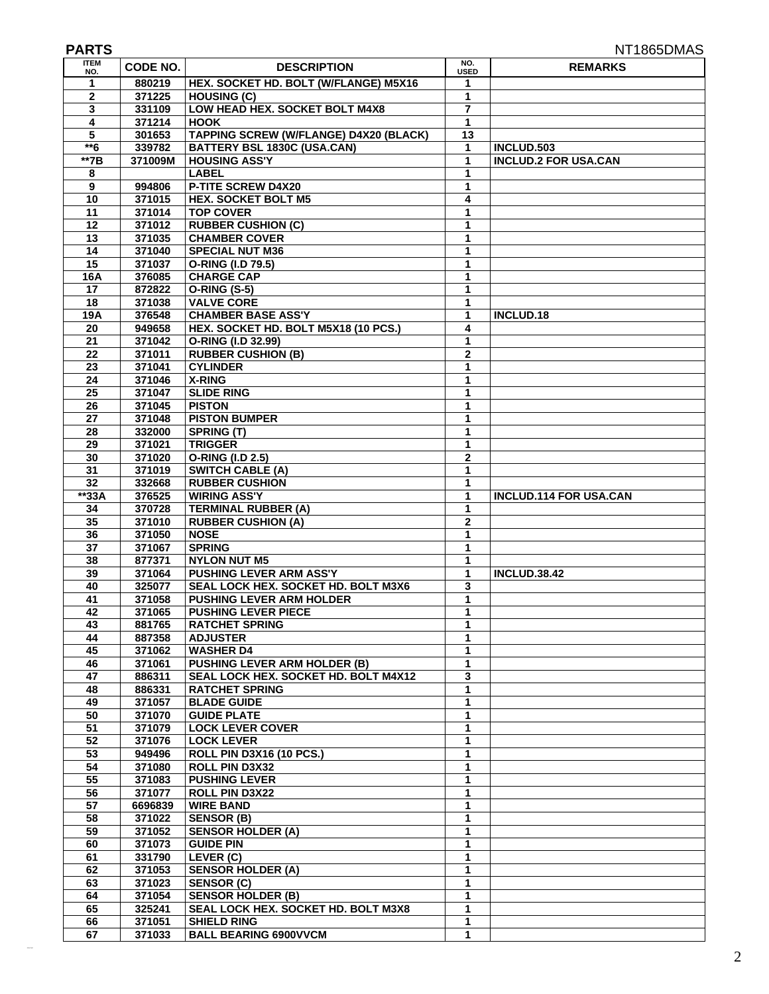| <b>PARTS</b>       |                   |                                                                 |                             | NT1865DMAS                                |
|--------------------|-------------------|-----------------------------------------------------------------|-----------------------------|-------------------------------------------|
| <b>ITEM</b><br>NO. | <b>CODE NO.</b>   | <b>DESCRIPTION</b>                                              | NO.<br><b>USED</b>          | <b>REMARKS</b>                            |
| 1                  | 880219            | HEX. SOCKET HD. BOLT (W/FLANGE) M5X16                           | 1                           |                                           |
| $\mathbf 2$        | 371225            | <b>HOUSING (C)</b>                                              | 1                           |                                           |
| 3                  | 331109            | LOW HEAD HEX. SOCKET BOLT M4X8                                  | 7                           |                                           |
| 4                  | 371214            | <b>HOOK</b>                                                     | 1                           |                                           |
| 5                  | 301653            | <b>TAPPING SCREW (W/FLANGE) D4X20 (BLACK)</b>                   | 13                          |                                           |
| $*6$<br>$**7B$     | 339782<br>371009M | <b>BATTERY BSL 1830C (USA.CAN)</b><br><b>HOUSING ASS'Y</b>      | 1<br>1                      | INCLUD.503<br><b>INCLUD.2 FOR USA.CAN</b> |
| 8                  |                   | <b>LABEL</b>                                                    | 1                           |                                           |
| 9                  | 994806            | P-TITE SCREW D4X20                                              | 1                           |                                           |
| 10                 | 371015            | <b>HEX. SOCKET BOLT M5</b>                                      | 4                           |                                           |
| 11                 | 371014            | <b>TOP COVER</b>                                                | 1                           |                                           |
| 12                 | 371012            | <b>RUBBER CUSHION (C)</b>                                       | 1                           |                                           |
| 13                 | 371035            | <b>CHAMBER COVER</b>                                            | 1                           |                                           |
| 14<br>15           | 371040<br>371037  | <b>SPECIAL NUT M36</b><br>O-RING (I.D 79.5)                     | 1<br>1                      |                                           |
| 16A                | 376085            | <b>CHARGE CAP</b>                                               | 1                           |                                           |
| 17                 | 872822            | <b>O-RING (S-5)</b>                                             | 1                           |                                           |
| 18                 | 371038            | <b>VALVE CORE</b>                                               | 1                           |                                           |
| 19A                | 376548            | <b>CHAMBER BASE ASS'Y</b>                                       | 1                           | <b>INCLUD.18</b>                          |
| 20                 | 949658            | HEX. SOCKET HD. BOLT M5X18 (10 PCS.)                            | 4                           |                                           |
| 21                 | 371042            | O-RING (I.D 32.99)                                              | 1                           |                                           |
| $\overline{22}$    | 371011            | <b>RUBBER CUSHION (B)</b>                                       | $\overline{2}$              |                                           |
| 23<br>24           | 371041<br>371046  | <b>CYLINDER</b><br><b>X-RING</b>                                | 1                           |                                           |
| $\overline{25}$    | 371047            | <b>SLIDE RING</b>                                               | 1<br>1                      |                                           |
| 26                 | 371045            | <b>PISTON</b>                                                   | 1                           |                                           |
| 27                 | 371048            | <b>PISTON BUMPER</b>                                            | 1                           |                                           |
| 28                 | 332000            | SPRING (T)                                                      | 1                           |                                           |
| 29                 | 371021            | <b>TRIGGER</b>                                                  | 1                           |                                           |
| 30                 | 371020            | O-RING (I.D 2.5)                                                | $\mathbf 2$                 |                                           |
| 31                 | 371019            | <b>SWITCH CABLE (A)</b>                                         | 1                           |                                           |
| 32<br>**33A        | 332668<br>376525  | <b>RUBBER CUSHION</b><br><b>WIRING ASS'Y</b>                    | 1<br>1                      | <b>INCLUD.114 FOR USA.CAN</b>             |
| 34                 | 370728            | <b>TERMINAL RUBBER (A)</b>                                      | 1                           |                                           |
| 35                 | 371010            | <b>RUBBER CUSHION (A)</b>                                       | $\overline{2}$              |                                           |
| 36                 | 371050            | <b>NOSE</b>                                                     | 1                           |                                           |
| 37                 | 371067            | <b>SPRING</b>                                                   | $\mathbf 1$                 |                                           |
| 38                 | 877371            | <b>NYLON NUT M5</b>                                             | 1                           |                                           |
| 39                 | 371064            | <b>PUSHING LEVER ARM ASS'Y</b>                                  | 1                           | <b>INCLUD.38.42</b>                       |
| 40<br>41           | 325077<br>371058  | SEAL LOCK HEX. SOCKET HD. BOLT M3X6<br>PUSHING LEVER ARM HOLDER | 3<br>1                      |                                           |
| 42                 | 371065            | <b>PUSHING LEVER PIECE</b>                                      | 1                           |                                           |
| 43                 | 881765            | <b>RATCHET SPRING</b>                                           | 1                           |                                           |
| 44                 | 887358            | <b>ADJUSTER</b>                                                 | 1                           |                                           |
| 45                 | 371062            | <b>WASHER D4</b>                                                | 1                           |                                           |
| 46                 | 371061            | <b>PUSHING LEVER ARM HOLDER (B)</b>                             | $\mathbf{1}$                |                                           |
| 47                 | 886311            | SEAL LOCK HEX. SOCKET HD. BOLT M4X12                            | 3                           |                                           |
| 48<br>49           | 886331<br>371057  | <b>RATCHET SPRING</b><br><b>BLADE GUIDE</b>                     | 1<br>1                      |                                           |
| 50                 | 371070            | <b>GUIDE PLATE</b>                                              | 1                           |                                           |
| 51                 | 371079            | <b>LOCK LEVER COVER</b>                                         | 1                           |                                           |
| 52                 | 371076            | <b>LOCK LEVER</b>                                               | 1                           |                                           |
| 53                 | 949496            | ROLL PIN D3X16 (10 PCS.)                                        | 1                           |                                           |
| 54                 | 371080            | ROLL PIN D3X32                                                  | $\mathbf 1$                 |                                           |
| 55                 | 371083            | <b>PUSHING LEVER</b>                                            | $\mathbf 1$                 |                                           |
| 56<br>57           | 371077<br>6696839 | ROLL PIN D3X22<br><b>WIRE BAND</b>                              | $\mathbf{1}$<br>$\mathbf 1$ |                                           |
| 58                 | 371022            | <b>SENSOR (B)</b>                                               | 1                           |                                           |
| 59                 | 371052            | <b>SENSOR HOLDER (A)</b>                                        | $\mathbf{1}$                |                                           |
| 60                 | 371073            | <b>GUIDE PIN</b>                                                | 1                           |                                           |
| 61                 | 331790            | LEVER (C)                                                       | 1                           |                                           |
| 62                 | 371053            | <b>SENSOR HOLDER (A)</b>                                        | 1                           |                                           |
| 63                 | 371023            | <b>SENSOR (C)</b>                                               | $\mathbf{1}$                |                                           |
| 64                 | 371054<br>325241  | <b>SENSOR HOLDER (B)</b>                                        | $\mathbf 1$                 |                                           |
| 65<br>66           | 371051            | SEAL LOCK HEX. SOCKET HD. BOLT M3X8<br><b>SHIELD RING</b>       | 1<br>1                      |                                           |
| 67                 | 371033            | <b>BALL BEARING 6900VVCM</b>                                    | $\mathbf{1}$                |                                           |
|                    |                   |                                                                 |                             |                                           |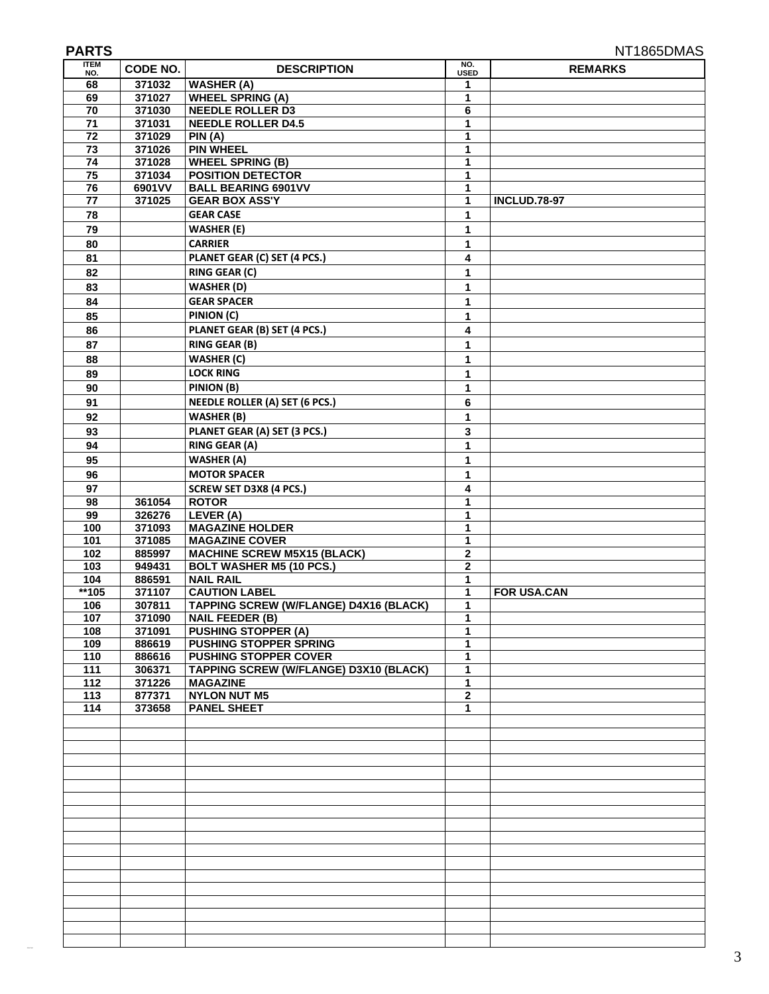| <b>ITEM</b>     | CODE NO.         | <b>DESCRIPTION</b>                                   | NO.              | NT1865DMAS<br><b>REMARKS</b> |
|-----------------|------------------|------------------------------------------------------|------------------|------------------------------|
| NO.<br>68       | 371032           | <b>WASHER (A)</b>                                    | <b>USED</b><br>1 |                              |
| 69              | 371027           | <b>WHEEL SPRING (A)</b>                              | 1                |                              |
| 70              | 371030           | <b>NEEDLE ROLLER D3</b>                              | 6                |                              |
| $\overline{71}$ | 371031           | <b>NEEDLE ROLLER D4.5</b>                            | 1                |                              |
| 72              | 371029           | PIN (A)                                              | 1                |                              |
| 73              | 371026           | <b>PIN WHEEL</b>                                     | 1                |                              |
| 74              | 371028           | <b>WHEEL SPRING (B)</b>                              | 1                |                              |
| 75              | 371034           | <b>POSITION DETECTOR</b>                             | 1                |                              |
| 76              | 6901VV           | <b>BALL BEARING 6901VV</b><br><b>GEAR BOX ASS'Y</b>  | 1                |                              |
| 77              | 371025           | <b>GEAR CASE</b>                                     | 1                | <b>INCLUD.78-97</b>          |
| 78              |                  |                                                      | 1                |                              |
| 79              |                  | <b>WASHER (E)</b><br><b>CARRIER</b>                  | 1                |                              |
| 80<br>81        |                  | PLANET GEAR (C) SET (4 PCS.)                         | 1<br>4           |                              |
|                 |                  |                                                      |                  |                              |
| 82              |                  | <b>RING GEAR (C)</b>                                 | 1                |                              |
| 83              |                  | <b>WASHER (D)</b><br><b>GEAR SPACER</b>              | 1                |                              |
| 84              |                  |                                                      | 1                |                              |
| 85              |                  | PINION (C)                                           | 1                |                              |
| 86              |                  | PLANET GEAR (B) SET (4 PCS.)                         | 4                |                              |
| 87              |                  | <b>RING GEAR (B)</b><br><b>WASHER (C)</b>            | 1                |                              |
| 88              |                  |                                                      | 1                |                              |
| 89              |                  | <b>LOCK RING</b>                                     | 1                |                              |
| 90              |                  | PINION (B)                                           | 1                |                              |
| 91              |                  | <b>NEEDLE ROLLER (A) SET (6 PCS.)</b>                | 6                |                              |
| 92              |                  | <b>WASHER (B)</b>                                    | 1                |                              |
| 93              |                  | PLANET GEAR (A) SET (3 PCS.)                         | 3                |                              |
| 94              |                  | <b>RING GEAR (A)</b>                                 | 1                |                              |
| 95              |                  | <b>WASHER (A)</b>                                    | 1                |                              |
| 96              |                  | <b>MOTOR SPACER</b>                                  | 1                |                              |
| 97              |                  | SCREW SET D3X8 (4 PCS.)<br><b>ROTOR</b>              | 4<br>1           |                              |
| 98<br>99        | 361054<br>326276 | LEVER (A)                                            | 1                |                              |
| 100             | 371093           | <b>MAGAZINE HOLDER</b>                               | 1                |                              |
| 101             | 371085           | <b>MAGAZINE COVER</b>                                | 1                |                              |
| 102             | 885997           | <b>MACHINE SCREW M5X15 (BLACK)</b>                   | $\mathbf 2$      |                              |
| 103             | 949431           | <b>BOLT WASHER M5 (10 PCS.)</b>                      | $\mathbf{2}$     |                              |
| 104             | 886591           | <b>NAIL RAIL</b>                                     | 1                |                              |
| $*105$          | 371107           | <b>CAUTION LABEL</b>                                 | 1                | <b>FOR USA.CAN</b>           |
| 106             | 307811           | <b>TAPPING SCREW (W/FLANGE) D4X16 (BLACK)</b>        | 1                |                              |
| 107<br>108      | 371090<br>371091 | <b>NAIL FEEDER (B)</b><br><b>PUSHING STOPPER (A)</b> | 1<br>$\mathbf 1$ |                              |
| 109             | 886619           | <b>PUSHING STOPPER SPRING</b>                        | 1                |                              |
| 110             | 886616           | <b>PUSHING STOPPER COVER</b>                         | $\mathbf{1}$     |                              |
| 111             | 306371           | <b>TAPPING SCREW (W/FLANGE) D3X10 (BLACK)</b>        | 1                |                              |
| 112             | 371226           | <b>MAGAZINE</b>                                      | 1                |                              |
| 113             | 877371           | <b>NYLON NUT M5</b>                                  | $\bf 2$          |                              |
| 114             | 373658           | <b>PANEL SHEET</b>                                   | $\mathbf{1}$     |                              |
|                 |                  |                                                      |                  |                              |
|                 |                  |                                                      |                  |                              |
|                 |                  |                                                      |                  |                              |
|                 |                  |                                                      |                  |                              |
|                 |                  |                                                      |                  |                              |
|                 |                  |                                                      |                  |                              |
|                 |                  |                                                      |                  |                              |
|                 |                  |                                                      |                  |                              |
|                 |                  |                                                      |                  |                              |
|                 |                  |                                                      |                  |                              |
|                 |                  |                                                      |                  |                              |
|                 |                  |                                                      |                  |                              |
|                 |                  |                                                      |                  |                              |
|                 |                  |                                                      |                  |                              |
|                 |                  |                                                      |                  |                              |
|                 |                  |                                                      |                  |                              |